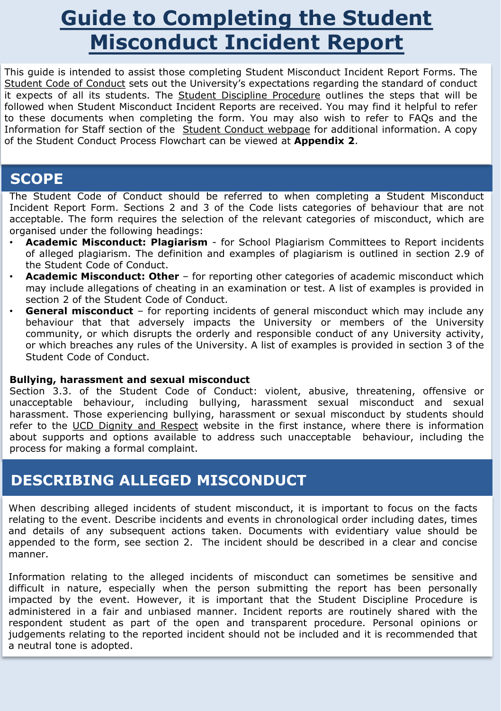## **Guide to Completing the Student Misconduct Incident Report**

This guide is intended to assist those completing Student Misconduct Incident Report Forms. The Student Code of [Conduct](https://hub.ucd.ie/usis/!W_HU_MENU.P_PUBLISH?p_tag=GD-DOCLAND&ID=221) sets out the University's expectations regarding the standard of conduct it expects of all its students. The Student Discipline [Procedure](https://hub.ucd.ie/usis/!W_HU_MENU.P_PUBLISH?p_tag=GD-DOCLAND&ID=226) outlines the steps that will be followed when Student Misconduct Incident Reports are received. You may find it helpful to refer to these documents when completing the form. You may also wish to refer to FAQs and the Information for Staff section of the Student Conduct [webpage](https://www.ucd.ie/secca/studentconduct/) for additional information. A copy of the Student Conduct Process Flowchart can be viewed at **Appendix 2**.

### **SCOPE**

The Student Code of Conduct should be referred to when completing a Student Misconduct Incident Report Form. Sections 2 and 3 of the Code lists categories of behaviour that are not acceptable. The form requires the selection of the relevant categories of misconduct, which are organised under the following headings:

- **Academic Misconduct: Plagiarism** for School Plagiarism Committees to Report incidents of alleged plagiarism. The definition and examples of plagiarism is outlined in section 2.9 of the Student Code of Conduct.
- **Academic Misconduct: Other** for reporting other categories of academic misconduct which may include allegations of cheating in an examination or test. A list of examples is provided in section 2 of the Student Code of Conduct.
- **General misconduct** for reporting incidents of general misconduct which may include any behaviour that that adversely impacts the University or members of the University community, or which disrupts the orderly and responsible conduct of any University activity, or which breaches any rules of the University. A list of examples is provided in section 3 of the Student Code of Conduct.

#### **Bullying, harassment and sexual misconduct**

Section 3.3. of the Student Code of Conduct: violent, abusive, threatening, offensive or unacceptable behaviour, including bullying, harassment sexual misconduct and sexual harassment. Those experiencing bullying, harassment or sexual misconduct by students should refer to the UCD Dignity and [Respect](https://www.ucd.ie/dignityandrespect/) website in the first instance, where there is information about supports and options available to address such unacceptable behaviour, including the process for making a formal complaint.

#### **DESCRIBING ALLEGED MISCONDUCT**

When describing alleged incidents of student misconduct, it is important to focus on the facts relating to the event. Describe incidents and events in chronological order including dates, times and details of any subsequent actions taken. Documents with evidentiary value should be appended to the form, see section 2. The incident should be described in a clear and concise manner.

Information relating to the alleged incidents of misconduct can sometimes be sensitive and difficult in nature, especially when the person submitting the report has been personally impacted by the event. However, it is important that the Student Discipline Procedure is administered in a fair and unbiased manner. Incident reports are routinely shared with the respondent student as part of the open and transparent procedure. Personal opinions or judgements relating to the reported incident should not be included and it is recommended that a neutral tone is adopted.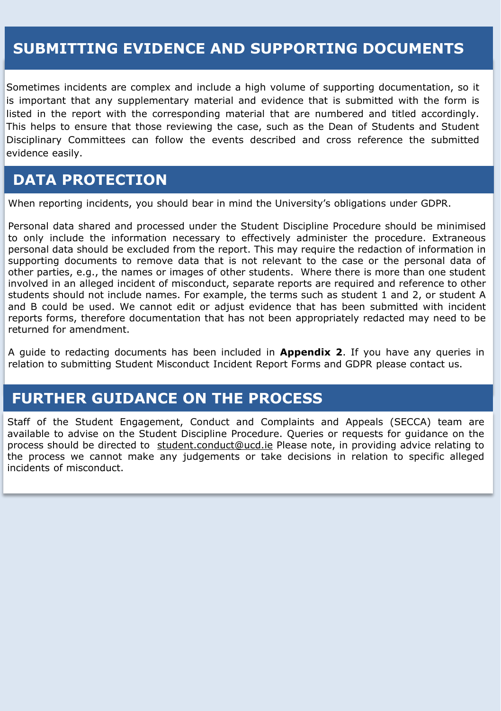#### **SUBMITTING EVIDENCE AND SUPPORTING DOCUMENTS**

Sometimes incidents are complex and include a high volume of supporting documentation, so it is important that any supplementary material and evidence that is submitted with the form is listed in the report with the corresponding material that are numbered and titled accordingly. This helps to ensure that those reviewing the case, such as the Dean of Students and Student Disciplinary Committees can follow the events described and cross reference the submitted evidence easily.

#### **DATA PROTECTION**

When reporting incidents, you should bear in mind the University's obligations under GDPR.

Personal data shared and processed under the Student Discipline Procedure should be minimised to only include the information necessary to effectively administer the procedure. Extraneous personal data should be excluded from the report. This may require the redaction of information in supporting documents to remove data that is not relevant to the case or the personal data of other parties, e.g., the names or images of other students. Where there is more than one student involved in an alleged incident of misconduct, separate reports are required and reference to other students should not include names. For example, the terms such as student 1 and 2, or student A and B could be used. We cannot edit or adjust evidence that has been submitted with incident reports forms, therefore documentation that has not been appropriately redacted may need to be returned for amendment.

A guide to redacting documents has been included in **Appendix 2**. If you have any queries in relation to submitting Student Misconduct Incident Report Forms and GDPR please contact us.

#### **FURTHER GUIDANCE ON THE PROCESS**

Staff of the Student Engagement, Conduct and Complaints and Appeals (SECCA) team are available to advise on the Student Discipline Procedure. Queries or requests for guidance on the process should be directed to [student.conduct@ucd.ie](mailto:student.conduct@ucd.ie) Please note, in providing advice relating to the process we cannot make any judgements or take decisions in relation to specific alleged incidents of misconduct.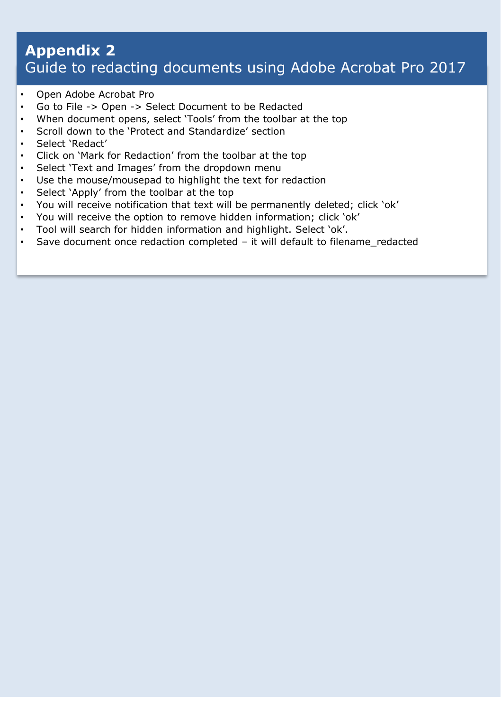#### **Appendix 2**  Guide to redacting documents using Adobe Acrobat Pro 2017

- Open Adobe Acrobat Pro
- Go to File -> Open -> Select Document to be Redacted
- When document opens, select 'Tools' from the toolbar at the top
- Scroll down to the 'Protect and Standardize' section
- Select 'Redact'
- Click on 'Mark for Redaction' from the toolbar at the top
- Select 'Text and Images' from the dropdown menu
- Use the mouse/mousepad to highlight the text for redaction
- Select 'Apply' from the toolbar at the top
- You will receive notification that text will be permanently deleted; click 'ok'
- You will receive the option to remove hidden information; click 'ok'
- Tool will search for hidden information and highlight. Select 'ok'.
- Save document once redaction completed it will default to filename redacted